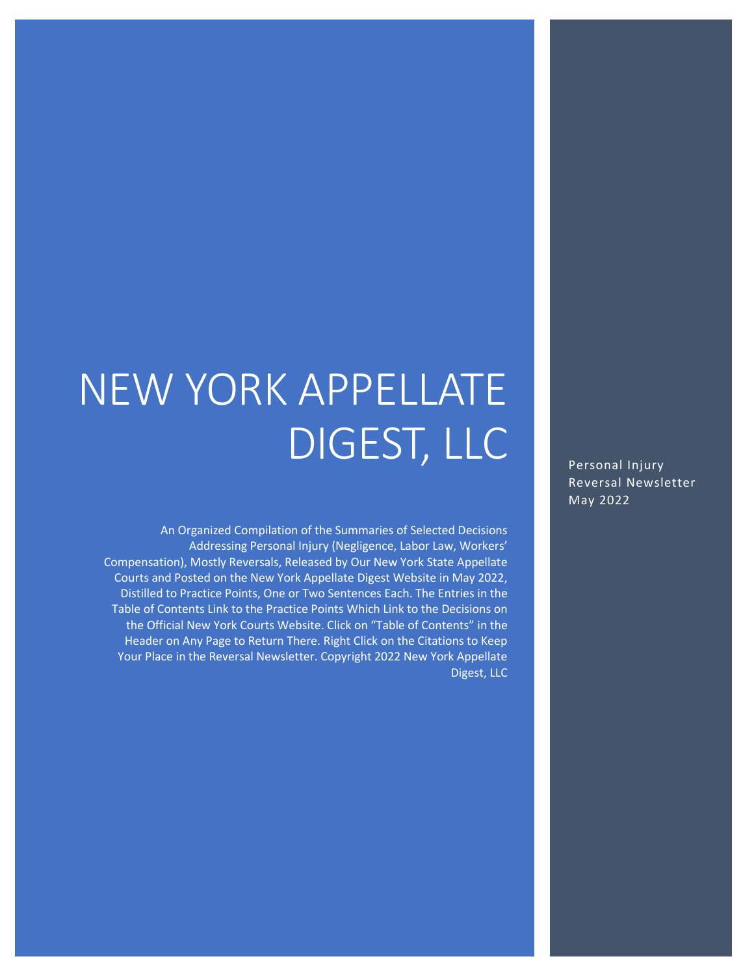# NEW YORK APPELLATE DIGEST, LLC

An Organized Compilation of the Summaries of Selected Decisions Addressing Personal Injury (Negligence, Labor Law, Workers' Compensation), Mostly Reversals, Released by Our New York State Appellate Courts and Posted on the New York Appellate Digest Website in May 2022, Distilled to Practice Points, One or Two Sentences Each. The Entries in the Table of Contents Link to the Practice Points Which Link to the Decisions on the Official New York Courts Website. Click on "Table of Contents" in the Header on Any Page to Return There. Right Click on the Citations to Keep Your Place in the Reversal Newsletter. Copyright 2022 New York Appellate Digest, LLC

Personal Injury Reversal Newsletter May 2022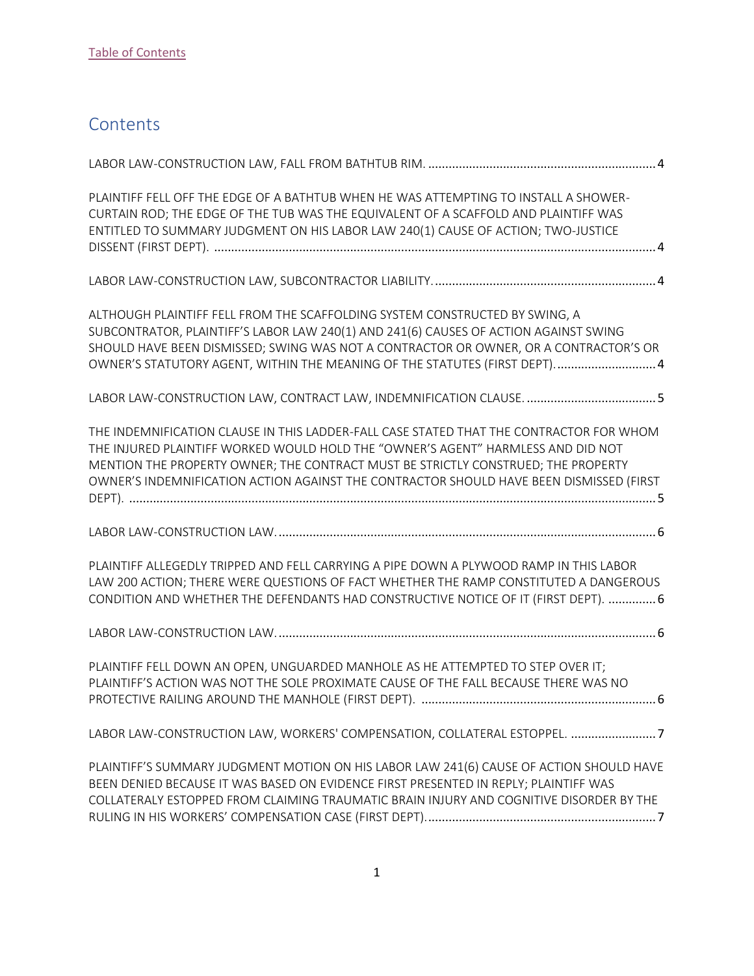# <span id="page-1-0"></span>**Contents**

| PLAINTIFF FELL OFF THE EDGE OF A BATHTUB WHEN HE WAS ATTEMPTING TO INSTALL A SHOWER-<br>CURTAIN ROD; THE EDGE OF THE TUB WAS THE EQUIVALENT OF A SCAFFOLD AND PLAINTIFF WAS<br>ENTITLED TO SUMMARY JUDGMENT ON HIS LABOR LAW 240(1) CAUSE OF ACTION; TWO-JUSTICE                                                                                            |
|-------------------------------------------------------------------------------------------------------------------------------------------------------------------------------------------------------------------------------------------------------------------------------------------------------------------------------------------------------------|
|                                                                                                                                                                                                                                                                                                                                                             |
| ALTHOUGH PLAINTIFF FELL FROM THE SCAFFOLDING SYSTEM CONSTRUCTED BY SWING, A<br>SUBCONTRATOR, PLAINTIFF'S LABOR LAW 240(1) AND 241(6) CAUSES OF ACTION AGAINST SWING<br>SHOULD HAVE BEEN DISMISSED; SWING WAS NOT A CONTRACTOR OR OWNER, OR A CONTRACTOR'S OR<br>OWNER'S STATUTORY AGENT, WITHIN THE MEANING OF THE STATUTES (FIRST DEPT) 4                  |
| LABOR LAW-CONSTRUCTION LAW, CONTRACT LAW, INDEMNIFICATION CLAUSE.  5                                                                                                                                                                                                                                                                                        |
| THE INDEMNIFICATION CLAUSE IN THIS LADDER-FALL CASE STATED THAT THE CONTRACTOR FOR WHOM<br>THE INJURED PLAINTIFF WORKED WOULD HOLD THE "OWNER'S AGENT" HARMLESS AND DID NOT<br>MENTION THE PROPERTY OWNER; THE CONTRACT MUST BE STRICTLY CONSTRUED; THE PROPERTY<br>OWNER'S INDEMNIFICATION ACTION AGAINST THE CONTRACTOR SHOULD HAVE BEEN DISMISSED (FIRST |
|                                                                                                                                                                                                                                                                                                                                                             |
| PLAINTIFF ALLEGEDLY TRIPPED AND FELL CARRYING A PIPE DOWN A PLYWOOD RAMP IN THIS LABOR<br>LAW 200 ACTION; THERE WERE QUESTIONS OF FACT WHETHER THE RAMP CONSTITUTED A DANGEROUS<br>CONDITION AND WHETHER THE DEFENDANTS HAD CONSTRUCTIVE NOTICE OF IT (FIRST DEPT).  6                                                                                      |
|                                                                                                                                                                                                                                                                                                                                                             |
| PLAINTIFF FELL DOWN AN OPEN, UNGUARDED MANHOLE AS HE ATTEMPTED TO STEP OVER IT;<br>PLAINTIFF'S ACTION WAS NOT THE SOLE PROXIMATE CAUSE OF THE FALL BECAUSE THERE WAS NO                                                                                                                                                                                     |
| LABOR LAW-CONSTRUCTION LAW, WORKERS' COMPENSATION, COLLATERAL ESTOPPEL. 7                                                                                                                                                                                                                                                                                   |
| PLAINTIFF'S SUMMARY JUDGMENT MOTION ON HIS LABOR LAW 241(6) CAUSE OF ACTION SHOULD HAVE<br>BEEN DENIED BECAUSE IT WAS BASED ON EVIDENCE FIRST PRESENTED IN REPLY; PLAINTIFF WAS<br>COLLATERALY ESTOPPED FROM CLAIMING TRAUMATIC BRAIN INJURY AND COGNITIVE DISORDER BY THE                                                                                  |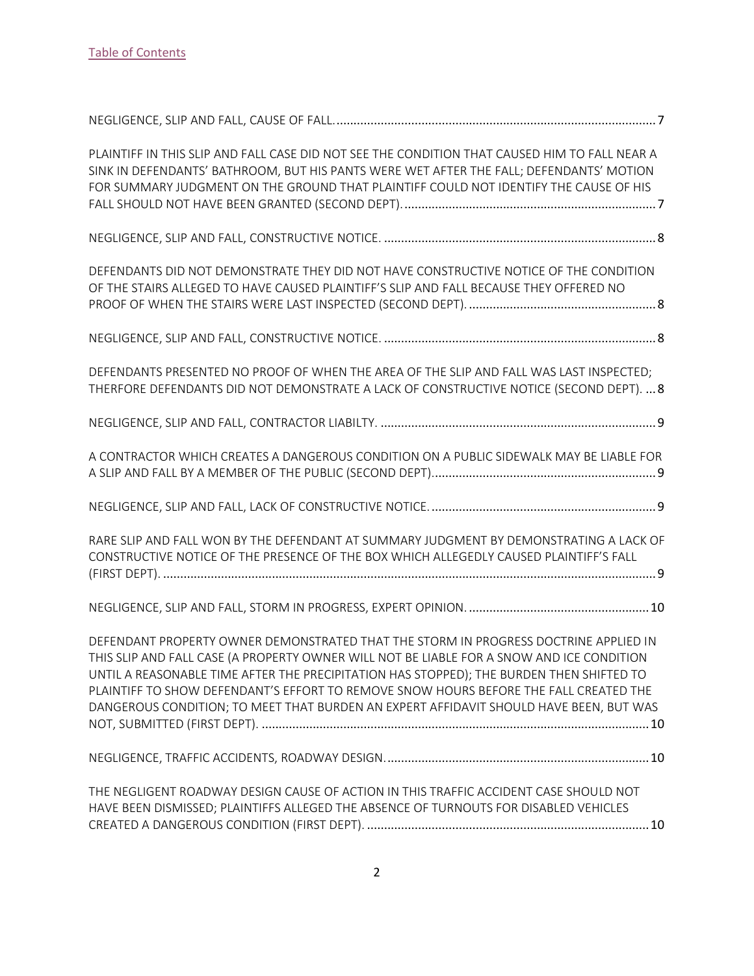| PLAINTIFF IN THIS SLIP AND FALL CASE DID NOT SEE THE CONDITION THAT CAUSED HIM TO FALL NEAR A<br>SINK IN DEFENDANTS' BATHROOM, BUT HIS PANTS WERE WET AFTER THE FALL; DEFENDANTS' MOTION<br>FOR SUMMARY JUDGMENT ON THE GROUND THAT PLAINTIFF COULD NOT IDENTIFY THE CAUSE OF HIS                                                                                                                                                                                |
|------------------------------------------------------------------------------------------------------------------------------------------------------------------------------------------------------------------------------------------------------------------------------------------------------------------------------------------------------------------------------------------------------------------------------------------------------------------|
|                                                                                                                                                                                                                                                                                                                                                                                                                                                                  |
| DEFENDANTS DID NOT DEMONSTRATE THEY DID NOT HAVE CONSTRUCTIVE NOTICE OF THE CONDITION<br>OF THE STAIRS ALLEGED TO HAVE CAUSED PLAINTIFF'S SLIP AND FALL BECAUSE THEY OFFERED NO                                                                                                                                                                                                                                                                                  |
|                                                                                                                                                                                                                                                                                                                                                                                                                                                                  |
| DEFENDANTS PRESENTED NO PROOF OF WHEN THE AREA OF THE SLIP AND FALL WAS LAST INSPECTED;<br>THERFORE DEFENDANTS DID NOT DEMONSTRATE A LACK OF CONSTRUCTIVE NOTICE (SECOND DEPT).  8                                                                                                                                                                                                                                                                               |
|                                                                                                                                                                                                                                                                                                                                                                                                                                                                  |
| A CONTRACTOR WHICH CREATES A DANGEROUS CONDITION ON A PUBLIC SIDEWALK MAY BE LIABLE FOR                                                                                                                                                                                                                                                                                                                                                                          |
|                                                                                                                                                                                                                                                                                                                                                                                                                                                                  |
| RARE SLIP AND FALL WON BY THE DEFENDANT AT SUMMARY JUDGMENT BY DEMONSTRATING A LACK OF<br>CONSTRUCTIVE NOTICE OF THE PRESENCE OF THE BOX WHICH ALLEGEDLY CAUSED PLAINTIFF'S FALL                                                                                                                                                                                                                                                                                 |
|                                                                                                                                                                                                                                                                                                                                                                                                                                                                  |
| DEFENDANT PROPERTY OWNER DEMONSTRATED THAT THE STORM IN PROGRESS DOCTRINE APPLIED IN<br>THIS SLIP AND FALL CASE (A PROPERTY OWNER WILL NOT BE LIABLE FOR A SNOW AND ICE CONDITION<br>UNTIL A REASONABLE TIME AFTER THE PRECIPITATION HAS STOPPED); THE BURDEN THEN SHIFTED TO<br>PLAINTIFF TO SHOW DEFENDANT'S EFFORT TO REMOVE SNOW HOURS BEFORE THE FALL CREATED THE<br>DANGEROUS CONDITION; TO MEET THAT BURDEN AN EXPERT AFFIDAVIT SHOULD HAVE BEEN, BUT WAS |
|                                                                                                                                                                                                                                                                                                                                                                                                                                                                  |
| THE NEGLIGENT ROADWAY DESIGN CAUSE OF ACTION IN THIS TRAFFIC ACCIDENT CASE SHOULD NOT<br>HAVE BEEN DISMISSED; PLAINTIFFS ALLEGED THE ABSENCE OF TURNOUTS FOR DISABLED VEHICLES                                                                                                                                                                                                                                                                                   |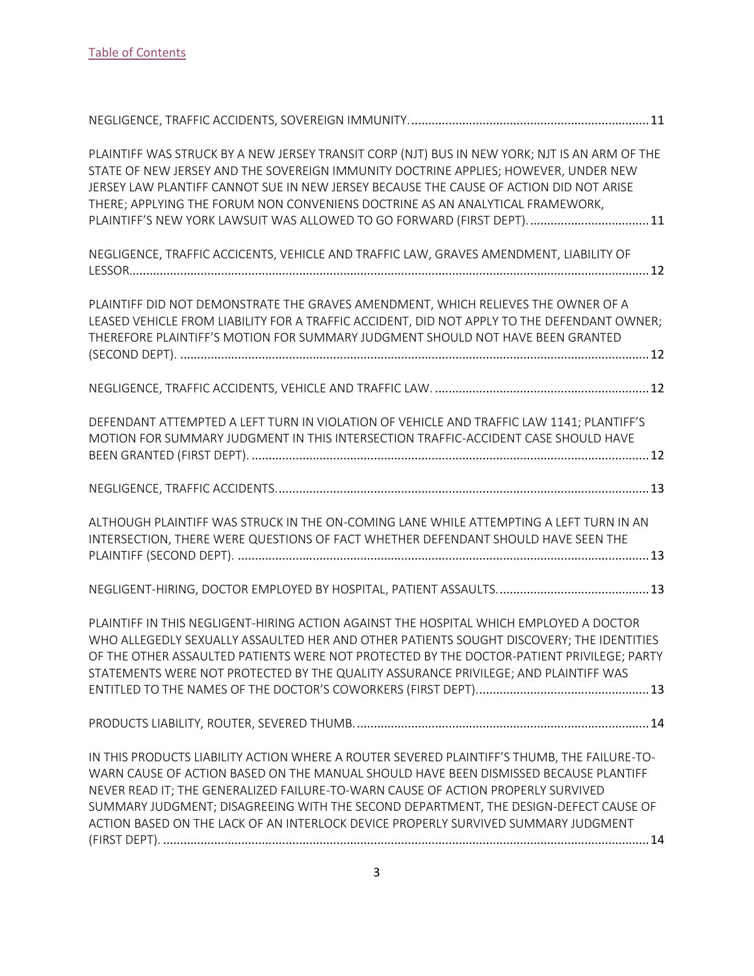| PLAINTIFF WAS STRUCK BY A NEW JERSEY TRANSIT CORP (NJT) BUS IN NEW YORK; NJT IS AN ARM OF THE<br>STATE OF NEW JERSEY AND THE SOVEREIGN IMMUNITY DOCTRINE APPLIES; HOWEVER, UNDER NEW<br>JERSEY LAW PLANTIFF CANNOT SUE IN NEW JERSEY BECAUSE THE CAUSE OF ACTION DID NOT ARISE<br>THERE; APPLYING THE FORUM NON CONVENIENS DOCTRINE AS AN ANALYTICAL FRAMEWORK,<br>PLAINTIFF'S NEW YORK LAWSUIT WAS ALLOWED TO GO FORWARD (FIRST DEPT).  11           |
|-------------------------------------------------------------------------------------------------------------------------------------------------------------------------------------------------------------------------------------------------------------------------------------------------------------------------------------------------------------------------------------------------------------------------------------------------------|
| NEGLIGENCE, TRAFFIC ACCICENTS, VEHICLE AND TRAFFIC LAW, GRAVES AMENDMENT, LIABILITY OF                                                                                                                                                                                                                                                                                                                                                                |
| PLAINTIFF DID NOT DEMONSTRATE THE GRAVES AMENDMENT, WHICH RELIEVES THE OWNER OF A<br>LEASED VEHICLE FROM LIABILITY FOR A TRAFFIC ACCIDENT, DID NOT APPLY TO THE DEFENDANT OWNER;<br>THEREFORE PLAINTIFF'S MOTION FOR SUMMARY JUDGMENT SHOULD NOT HAVE BEEN GRANTED                                                                                                                                                                                    |
|                                                                                                                                                                                                                                                                                                                                                                                                                                                       |
| DEFENDANT ATTEMPTED A LEFT TURN IN VIOLATION OF VEHICLE AND TRAFFIC LAW 1141; PLANTIFF'S<br>MOTION FOR SUMMARY JUDGMENT IN THIS INTERSECTION TRAFFIC-ACCIDENT CASE SHOULD HAVE                                                                                                                                                                                                                                                                        |
|                                                                                                                                                                                                                                                                                                                                                                                                                                                       |
| ALTHOUGH PLAINTIFF WAS STRUCK IN THE ON-COMING LANE WHILE ATTEMPTING A LEFT TURN IN AN<br>INTERSECTION, THERE WERE QUESTIONS OF FACT WHETHER DEFENDANT SHOULD HAVE SEEN THE                                                                                                                                                                                                                                                                           |
|                                                                                                                                                                                                                                                                                                                                                                                                                                                       |
| PLAINTIFF IN THIS NEGLIGENT-HIRING ACTION AGAINST THE HOSPITAL WHICH EMPLOYED A DOCTOR<br>WHO ALLEGEDLY SEXUALLY ASSAULTED HER AND OTHER PATIENTS SOUGHT DISCOVERY; THE IDENTITIES<br>OF THE OTHER ASSAULTED PATIENTS WERE NOT PROTECTED BY THE DOCTOR-PATIENT PRIVILEGE; PARTY<br>STATEMENTS WERE NOT PROTECTED BY THE QUALITY ASSURANCE PRIVILEGE; AND PLAINTIFF WAS                                                                                |
|                                                                                                                                                                                                                                                                                                                                                                                                                                                       |
| IN THIS PRODUCTS LIABILITY ACTION WHERE A ROUTER SEVERED PLAINTIFF'S THUMB, THE FAILURE-TO-<br>WARN CAUSE OF ACTION BASED ON THE MANUAL SHOULD HAVE BEEN DISMISSED BECAUSE PLANTIFF<br>NEVER READ IT; THE GENERALIZED FAILURE-TO-WARN CAUSE OF ACTION PROPERLY SURVIVED<br>SUMMARY JUDGMENT; DISAGREEING WITH THE SECOND DEPARTMENT, THE DESIGN-DEFECT CAUSE OF<br>ACTION BASED ON THE LACK OF AN INTERLOCK DEVICE PROPERLY SURVIVED SUMMARY JUDGMENT |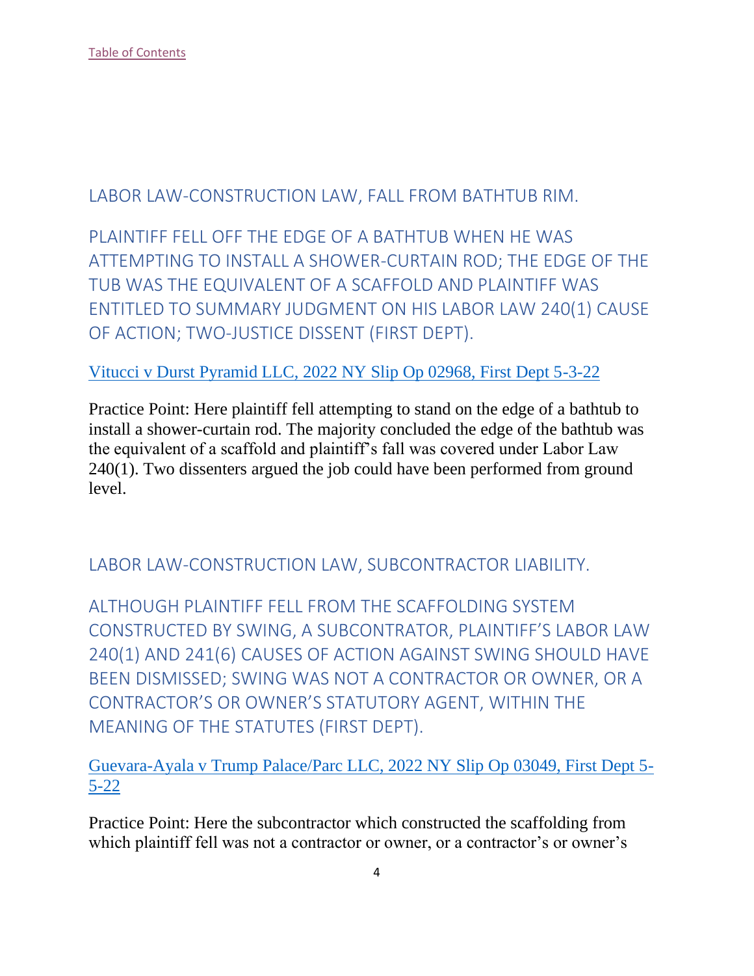<span id="page-4-0"></span>LABOR LAW-CONSTRUCTION LAW, FALL FROM BATHTUB RIM.

<span id="page-4-1"></span>PLAINTIFF FELL OFF THE EDGE OF A BATHTUB WHEN HE WAS ATTEMPTING TO INSTALL A SHOWER-CURTAIN ROD; THE EDGE OF THE TUB WAS THE EQUIVALENT OF A SCAFFOLD AND PLAINTIFF WAS ENTITLED TO SUMMARY JUDGMENT ON HIS LABOR LAW 240(1) CAUSE OF ACTION; TWO-JUSTICE DISSENT (FIRST DEPT).

[Vitucci v Durst Pyramid LLC, 2022 NY Slip Op 02968, First Dept 5-3-22](https://nycourts.gov/reporter/3dseries/2022/2022_02968.htm)

Practice Point: Here plaintiff fell attempting to stand on the edge of a bathtub to install a shower-curtain rod. The majority concluded the edge of the bathtub was the equivalent of a scaffold and plaintiff's fall was covered under Labor Law 240(1). Two dissenters argued the job could have been performed from ground level.

<span id="page-4-2"></span>LABOR LAW-CONSTRUCTION LAW, SUBCONTRACTOR LIABILITY.

<span id="page-4-3"></span>ALTHOUGH PLAINTIFF FELL FROM THE SCAFFOLDING SYSTEM CONSTRUCTED BY SWING, A SUBCONTRATOR, PLAINTIFF'S LABOR LAW 240(1) AND 241(6) CAUSES OF ACTION AGAINST SWING SHOULD HAVE BEEN DISMISSED; SWING WAS NOT A CONTRACTOR OR OWNER, OR A CONTRACTOR'S OR OWNER'S STATUTORY AGENT, WITHIN THE MEANING OF THE STATUTES (FIRST DEPT).

[Guevara-Ayala v Trump Palace/Parc LLC, 2022 NY Slip Op 03049, First Dept 5-](https://nycourts.gov/reporter/3dseries/2022/2022_03049.htm) [5-22](https://nycourts.gov/reporter/3dseries/2022/2022_03049.htm)

Practice Point: Here the subcontractor which constructed the scaffolding from which plaintiff fell was not a contractor or owner, or a contractor's or owner's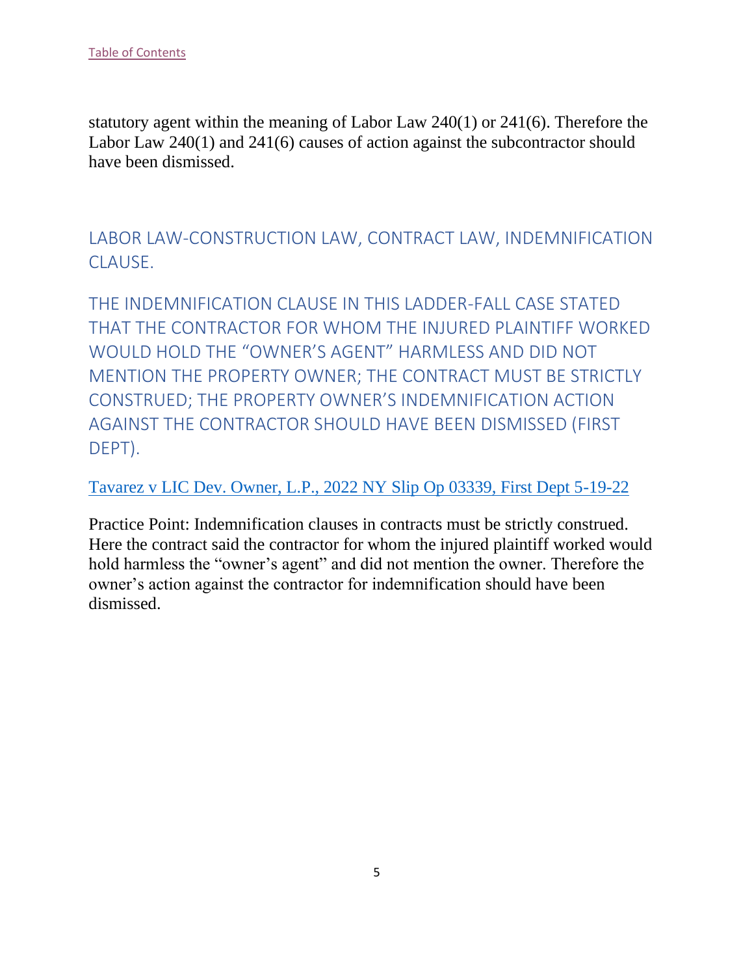statutory agent within the meaning of Labor Law 240(1) or 241(6). Therefore the Labor Law 240(1) and 241(6) causes of action against the subcontractor should have been dismissed.

<span id="page-5-0"></span>LABOR LAW-CONSTRUCTION LAW, CONTRACT LAW, INDEMNIFICATION CLAUSE.

<span id="page-5-1"></span>THE INDEMNIFICATION CLAUSE IN THIS LADDER-FALL CASE STATED THAT THE CONTRACTOR FOR WHOM THE INJURED PLAINTIFF WORKED WOULD HOLD THE "OWNER'S AGENT" HARMLESS AND DID NOT MENTION THE PROPERTY OWNER; THE CONTRACT MUST BE STRICTLY CONSTRUED; THE PROPERTY OWNER'S INDEMNIFICATION ACTION AGAINST THE CONTRACTOR SHOULD HAVE BEEN DISMISSED (FIRST DEPT).

#### [Tavarez v LIC Dev. Owner, L.P., 2022 NY Slip Op 03339, First Dept 5-19-22](https://nycourts.gov/reporter/3dseries/2022/2022_03339.htm)

Practice Point: Indemnification clauses in contracts must be strictly construed. Here the contract said the contractor for whom the injured plaintiff worked would hold harmless the "owner's agent" and did not mention the owner. Therefore the owner's action against the contractor for indemnification should have been dismissed.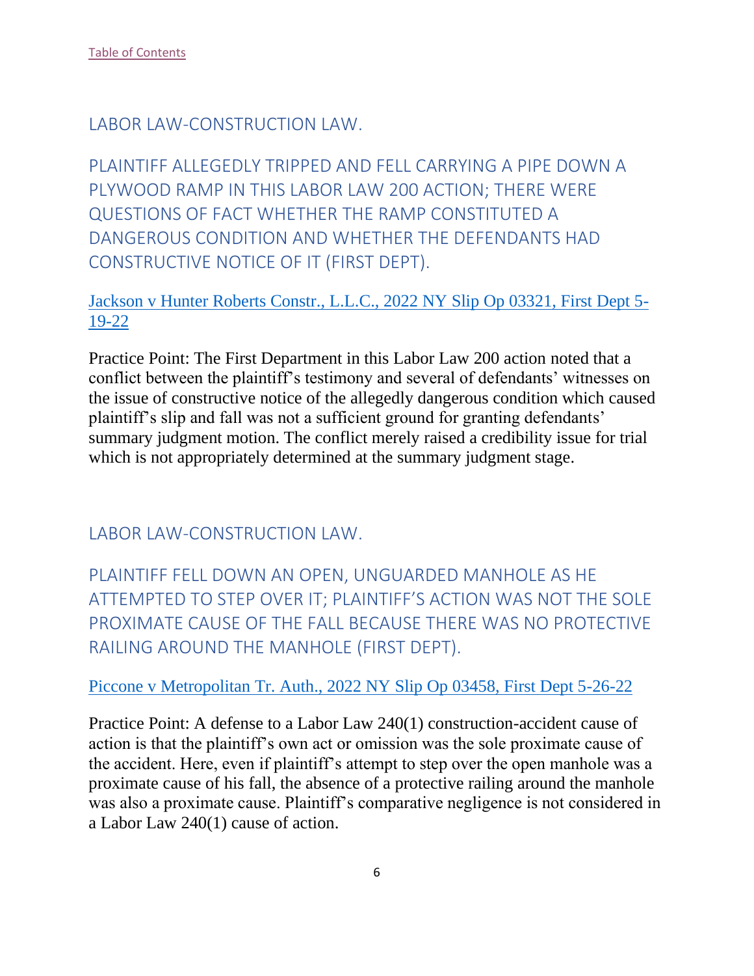<span id="page-6-0"></span>LABOR LAW-CONSTRUCTION LAW.

<span id="page-6-1"></span>PLAINTIFF ALLEGEDLY TRIPPED AND FELL CARRYING A PIPE DOWN A PLYWOOD RAMP IN THIS LABOR LAW 200 ACTION; THERE WERE QUESTIONS OF FACT WHETHER THE RAMP CONSTITUTED A DANGEROUS CONDITION AND WHETHER THE DEFENDANTS HAD CONSTRUCTIVE NOTICE OF IT (FIRST DEPT).

# [Jackson v Hunter Roberts Constr., L.L.C., 2022 NY Slip Op 03321, First Dept 5-](https://nycourts.gov/reporter/3dseries/2022/2022_03321.htm) [19-22](https://nycourts.gov/reporter/3dseries/2022/2022_03321.htm)

Practice Point: The First Department in this Labor Law 200 action noted that a conflict between the plaintiff's testimony and several of defendants' witnesses on the issue of constructive notice of the allegedly dangerous condition which caused plaintiff's slip and fall was not a sufficient ground for granting defendants' summary judgment motion. The conflict merely raised a credibility issue for trial which is not appropriately determined at the summary judgment stage.

<span id="page-6-2"></span>LABOR LAW-CONSTRUCTION LAW.

<span id="page-6-3"></span>PLAINTIFF FELL DOWN AN OPEN, UNGUARDED MANHOLE AS HE ATTEMPTED TO STEP OVER IT; PLAINTIFF'S ACTION WAS NOT THE SOLE PROXIMATE CAUSE OF THE FALL BECAUSE THERE WAS NO PROTECTIVE RAILING AROUND THE MANHOLE (FIRST DEPT).

# [Piccone v Metropolitan Tr. Auth., 2022 NY Slip Op 03458, First Dept 5-26-22](https://nycourts.gov/reporter/3dseries/2022/2022_03458.htm)

Practice Point: A defense to a Labor Law 240(1) construction-accident cause of action is that the plaintiff's own act or omission was the sole proximate cause of the accident. Here, even if plaintiff's attempt to step over the open manhole was a proximate cause of his fall, the absence of a protective railing around the manhole was also a proximate cause. Plaintiff's comparative negligence is not considered in a Labor Law 240(1) cause of action.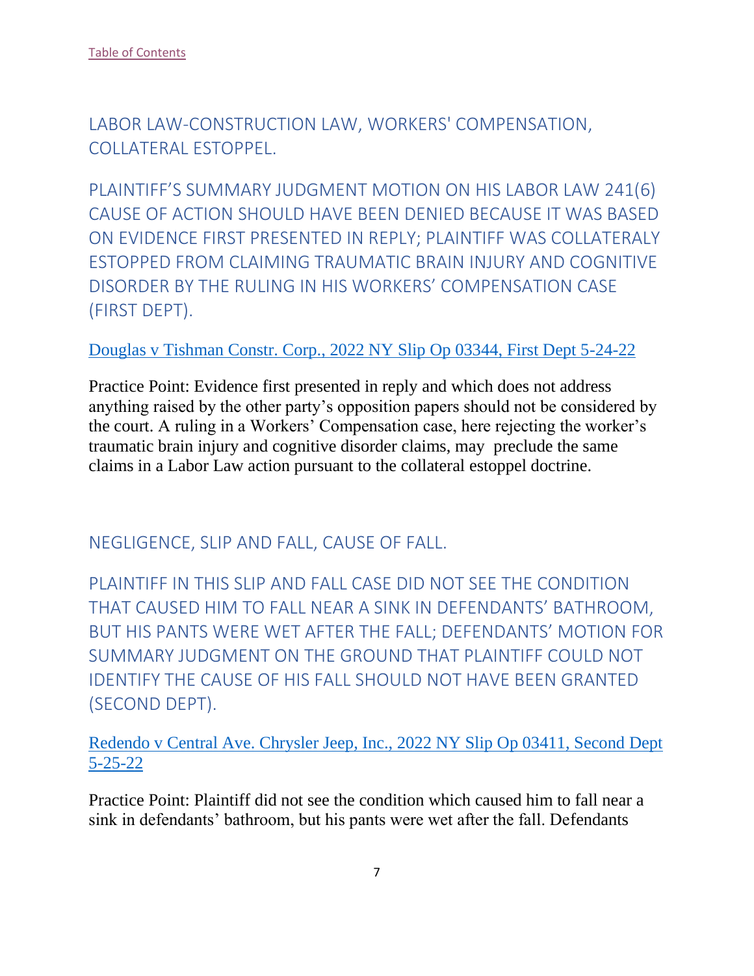<span id="page-7-0"></span>LABOR LAW-CONSTRUCTION LAW, WORKERS' COMPENSATION, COLLATERAL ESTOPPEL.

<span id="page-7-1"></span>PLAINTIFF'S SUMMARY JUDGMENT MOTION ON HIS LABOR LAW 241(6) CAUSE OF ACTION SHOULD HAVE BEEN DENIED BECAUSE IT WAS BASED ON EVIDENCE FIRST PRESENTED IN REPLY; PLAINTIFF WAS COLLATERALY ESTOPPED FROM CLAIMING TRAUMATIC BRAIN INJURY AND COGNITIVE DISORDER BY THE RULING IN HIS WORKERS' COMPENSATION CASE (FIRST DEPT).

#### [Douglas v Tishman Constr. Corp., 2022 NY Slip Op 03344, First Dept 5-24-22](https://nycourts.gov/reporter/3dseries/2022/2022_03344.htm)

Practice Point: Evidence first presented in reply and which does not address anything raised by the other party's opposition papers should not be considered by the court. A ruling in a Workers' Compensation case, here rejecting the worker's traumatic brain injury and cognitive disorder claims, may preclude the same claims in a Labor Law action pursuant to the collateral estoppel doctrine.

# <span id="page-7-2"></span>NEGLIGENCE, SLIP AND FALL, CAUSE OF FALL.

<span id="page-7-3"></span>PLAINTIFF IN THIS SLIP AND FALL CASE DID NOT SEE THE CONDITION THAT CAUSED HIM TO FALL NEAR A SINK IN DEFENDANTS' BATHROOM, BUT HIS PANTS WERE WET AFTER THE FALL; DEFENDANTS' MOTION FOR SUMMARY JUDGMENT ON THE GROUND THAT PLAINTIFF COULD NOT IDENTIFY THE CAUSE OF HIS FALL SHOULD NOT HAVE BEEN GRANTED (SECOND DEPT).

[Redendo v Central Ave. Chrysler Jeep, Inc., 2022 NY Slip Op 03411, Second Dept](https://nycourts.gov/reporter/3dseries/2022/2022_03411.htm)  [5-25-22](https://nycourts.gov/reporter/3dseries/2022/2022_03411.htm)

Practice Point: Plaintiff did not see the condition which caused him to fall near a sink in defendants' bathroom, but his pants were wet after the fall. Defendants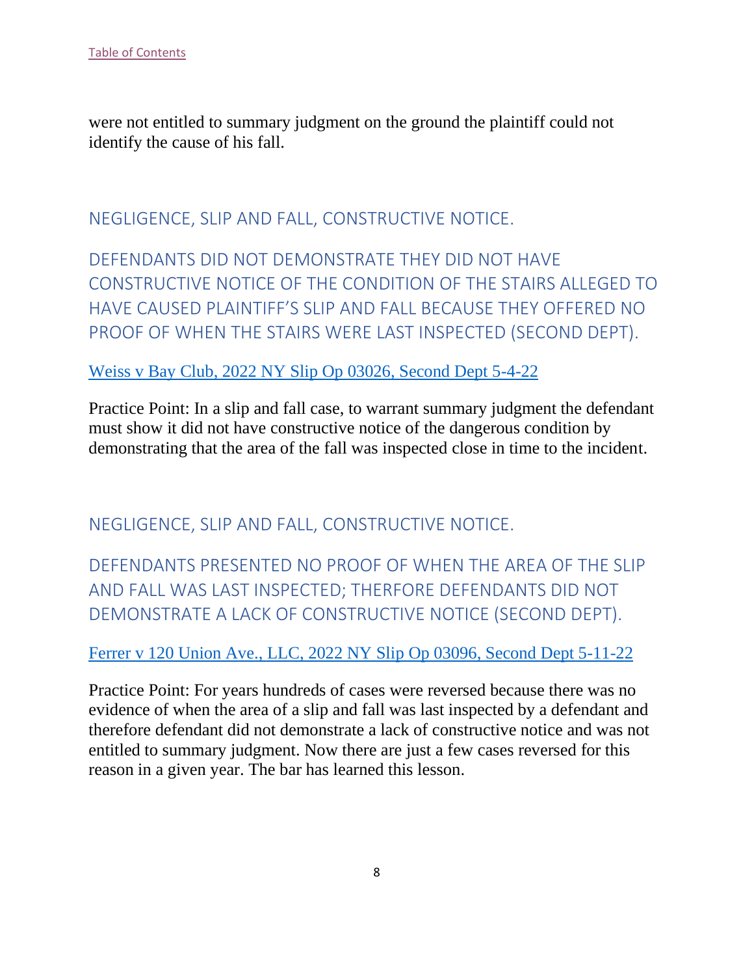were not entitled to summary judgment on the ground the plaintiff could not identify the cause of his fall.

<span id="page-8-0"></span>NEGLIGENCE, SLIP AND FALL, CONSTRUCTIVE NOTICE.

<span id="page-8-1"></span>DEFENDANTS DID NOT DEMONSTRATE THEY DID NOT HAVE CONSTRUCTIVE NOTICE OF THE CONDITION OF THE STAIRS ALLEGED TO HAVE CAUSED PLAINTIFF'S SLIP AND FALL BECAUSE THEY OFFERED NO PROOF OF WHEN THE STAIRS WERE LAST INSPECTED (SECOND DEPT).

#### [Weiss v Bay Club, 2022 NY Slip Op 03026, Second Dept 5-4-22](https://nycourts.gov/reporter/3dseries/2022/2022_03026.htm)

Practice Point: In a slip and fall case, to warrant summary judgment the defendant must show it did not have constructive notice of the dangerous condition by demonstrating that the area of the fall was inspected close in time to the incident.

# <span id="page-8-2"></span>NEGLIGENCE, SLIP AND FALL, CONSTRUCTIVE NOTICE.

<span id="page-8-3"></span>DEFENDANTS PRESENTED NO PROOF OF WHEN THE AREA OF THE SLIP AND FALL WAS LAST INSPECTED; THERFORE DEFENDANTS DID NOT DEMONSTRATE A LACK OF CONSTRUCTIVE NOTICE (SECOND DEPT).

[Ferrer v 120 Union Ave., LLC, 2022 NY Slip Op 03096, Second Dept 5-11-22](https://nycourts.gov/reporter/3dseries/2022/2022_03096.htm)

Practice Point: For years hundreds of cases were reversed because there was no evidence of when the area of a slip and fall was last inspected by a defendant and therefore defendant did not demonstrate a lack of constructive notice and was not entitled to summary judgment. Now there are just a few cases reversed for this reason in a given year. The bar has learned this lesson.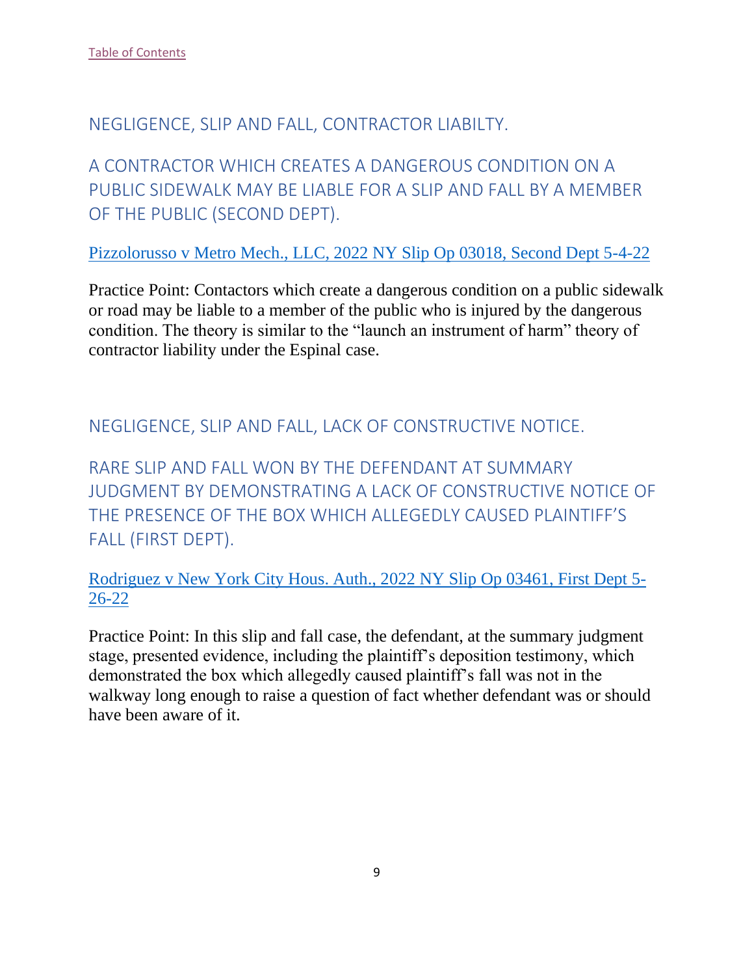#### <span id="page-9-0"></span>NEGLIGENCE, SLIP AND FALL, CONTRACTOR LIABILTY.

<span id="page-9-1"></span>A CONTRACTOR WHICH CREATES A DANGEROUS CONDITION ON A PUBLIC SIDEWALK MAY BE LIABLE FOR A SLIP AND FALL BY A MEMBER OF THE PUBLIC (SECOND DEPT).

Pizzolorusso v Metro [Mech., LLC, 2022 NY Slip Op 03018, Second Dept 5-4-22](https://nycourts.gov/reporter/3dseries/2022/2022_03018.htm)

Practice Point: Contactors which create a dangerous condition on a public sidewalk or road may be liable to a member of the public who is injured by the dangerous condition. The theory is similar to the "launch an instrument of harm" theory of contractor liability under the Espinal case.

<span id="page-9-2"></span>NEGLIGENCE, SLIP AND FALL, LACK OF CONSTRUCTIVE NOTICE.

<span id="page-9-3"></span>RARE SLIP AND FALL WON BY THE DEFENDANT AT SUMMARY JUDGMENT BY DEMONSTRATING A LACK OF CONSTRUCTIVE NOTICE OF THE PRESENCE OF THE BOX WHICH ALLEGEDLY CAUSED PLAINTIFF'S FALL (FIRST DEPT).

[Rodriguez v New York City Hous. Auth., 2022 NY Slip Op 03461, First Dept 5-](https://nycourts.gov/reporter/3dseries/2022/2022_03461.htm) [26-22](https://nycourts.gov/reporter/3dseries/2022/2022_03461.htm)

Practice Point: In this slip and fall case, the defendant, at the summary judgment stage, presented evidence, including the plaintiff's deposition testimony, which demonstrated the box which allegedly caused plaintiff's fall was not in the walkway long enough to raise a question of fact whether defendant was or should have been aware of it.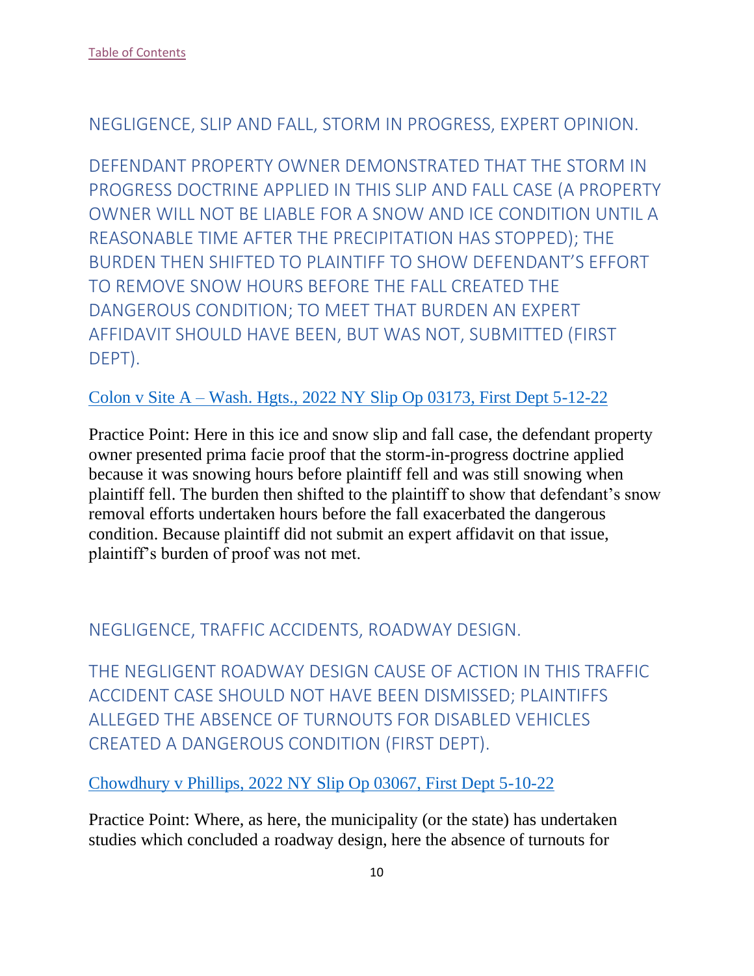#### <span id="page-10-0"></span>NEGLIGENCE, SLIP AND FALL, STORM IN PROGRESS, EXPERT OPINION.

<span id="page-10-1"></span>DEFENDANT PROPERTY OWNER DEMONSTRATED THAT THE STORM IN PROGRESS DOCTRINE APPLIED IN THIS SLIP AND FALL CASE (A PROPERTY OWNER WILL NOT BE LIABLE FOR A SNOW AND ICE CONDITION UNTIL A REASONABLE TIME AFTER THE PRECIPITATION HAS STOPPED); THE BURDEN THEN SHIFTED TO PLAINTIFF TO SHOW DEFENDANT'S EFFORT TO REMOVE SNOW HOURS BEFORE THE FALL CREATED THE DANGEROUS CONDITION; TO MEET THAT BURDEN AN EXPERT AFFIDAVIT SHOULD HAVE BEEN, BUT WAS NOT, SUBMITTED (FIRST DEPT).

#### Colon v Site A – [Wash. Hgts., 2022 NY Slip Op 03173, First Dept 5-12-22](https://nycourts.gov/reporter/3dseries/2022/2022_03173.htm)

Practice Point: Here in this ice and snow slip and fall case, the defendant property owner presented prima facie proof that the storm-in-progress doctrine applied because it was snowing hours before plaintiff fell and was still snowing when plaintiff fell. The burden then shifted to the plaintiff to show that defendant's snow removal efforts undertaken hours before the fall exacerbated the dangerous condition. Because plaintiff did not submit an expert affidavit on that issue, plaintiff's burden of proof was not met.

# <span id="page-10-2"></span>NEGLIGENCE, TRAFFIC ACCIDENTS, ROADWAY DESIGN.

<span id="page-10-3"></span>THE NEGLIGENT ROADWAY DESIGN CAUSE OF ACTION IN THIS TRAFFIC ACCIDENT CASE SHOULD NOT HAVE BEEN DISMISSED; PLAINTIFFS ALLEGED THE ABSENCE OF TURNOUTS FOR DISABLED VEHICLES CREATED A DANGEROUS CONDITION (FIRST DEPT).

[Chowdhury v Phillips, 2022 NY Slip Op 03067, First Dept 5-10-22](https://nycourts.gov/reporter/3dseries/2022/2022_03067.htm)

Practice Point: Where, as here, the municipality (or the state) has undertaken studies which concluded a roadway design, here the absence of turnouts for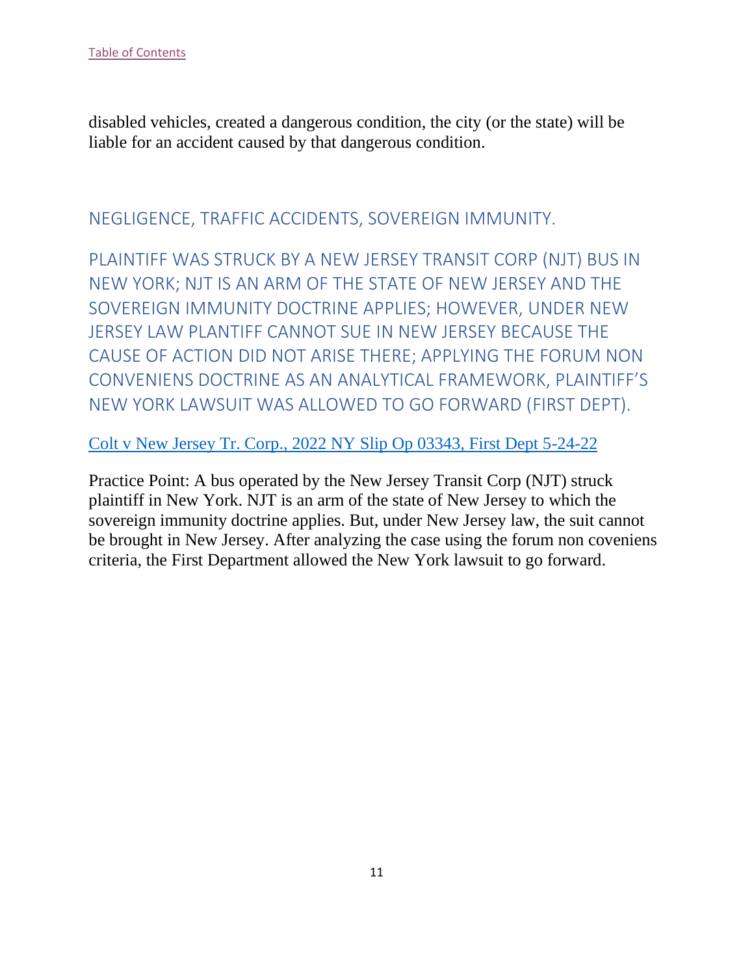disabled vehicles, created a dangerous condition, the city (or the state) will be liable for an accident caused by that dangerous condition.

# <span id="page-11-0"></span>NEGLIGENCE, TRAFFIC ACCIDENTS, SOVEREIGN IMMUNITY.

<span id="page-11-1"></span>PLAINTIFF WAS STRUCK BY A NEW JERSEY TRANSIT CORP (NJT) BUS IN NEW YORK; NJT IS AN ARM OF THE STATE OF NEW JERSEY AND THE SOVEREIGN IMMUNITY DOCTRINE APPLIES; HOWEVER, UNDER NEW JERSEY LAW PLANTIFF CANNOT SUE IN NEW JERSEY BECAUSE THE CAUSE OF ACTION DID NOT ARISE THERE; APPLYING THE FORUM NON CONVENIENS DOCTRINE AS AN ANALYTICAL FRAMEWORK, PLAINTIFF'S NEW YORK LAWSUIT WAS ALLOWED TO GO FORWARD (FIRST DEPT).

#### [Colt v New Jersey Tr. Corp., 2022 NY Slip Op 03343, First Dept 5-24-22](https://nycourts.gov/reporter/3dseries/2022/2022_03343.htm)

Practice Point: A bus operated by the New Jersey Transit Corp (NJT) struck plaintiff in New York. NJT is an arm of the state of New Jersey to which the sovereign immunity doctrine applies. But, under New Jersey law, the suit cannot be brought in New Jersey. After analyzing the case using the forum non coveniens criteria, the First Department allowed the New York lawsuit to go forward.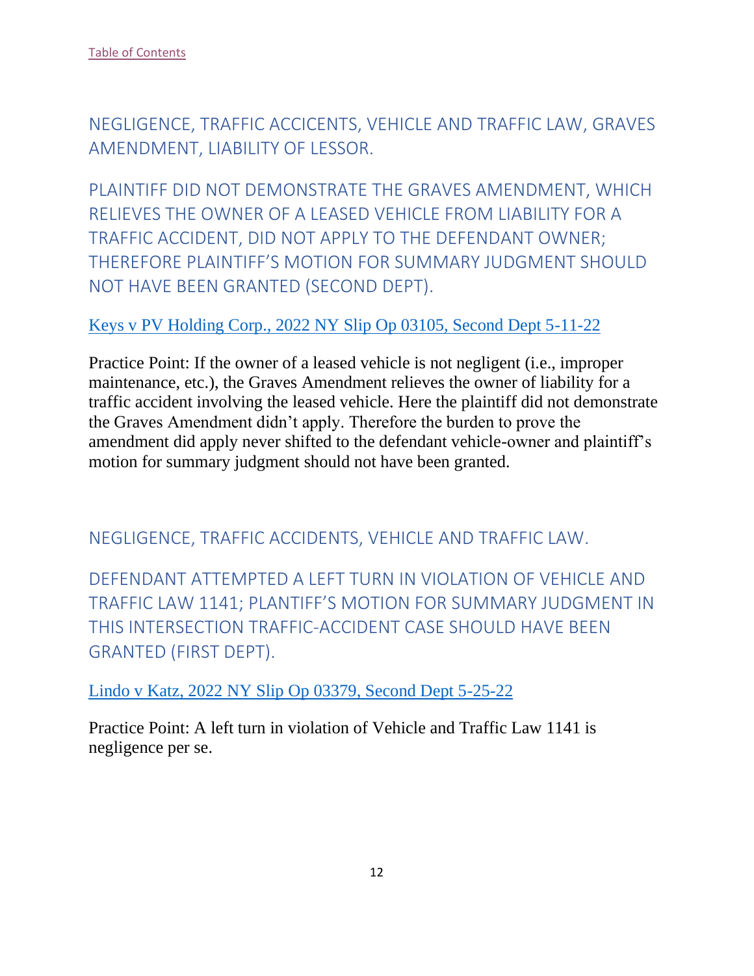<span id="page-12-0"></span>NEGLIGENCE, TRAFFIC ACCICENTS, VEHICLE AND TRAFFIC LAW, GRAVES AMENDMENT, LIABILITY OF LESSOR.

<span id="page-12-1"></span>PLAINTIFF DID NOT DEMONSTRATE THE GRAVES AMENDMENT, WHICH RELIEVES THE OWNER OF A LEASED VEHICLE FROM LIABILITY FOR A TRAFFIC ACCIDENT, DID NOT APPLY TO THE DEFENDANT OWNER; THEREFORE PLAINTIFF'S MOTION FOR SUMMARY JUDGMENT SHOULD NOT HAVE BEEN GRANTED (SECOND DEPT).

#### Keys v PV Holding Corp., 2022 NY Slip Op 03105, Second Dept 5-11-22

Practice Point: If the owner of a leased vehicle is not negligent (i.e., improper maintenance, etc.), the Graves Amendment relieves the owner of liability for a traffic accident involving the leased vehicle. Here the plaintiff did not demonstrate the Graves Amendment didn't apply. Therefore the burden to prove the amendment did apply never shifted to the defendant vehicle-owner and plaintiff's motion for summary judgment should not have been granted.

<span id="page-12-2"></span>NEGLIGENCE, TRAFFIC ACCIDENTS, VEHICLE AND TRAFFIC LAW.

<span id="page-12-3"></span>DEFENDANT ATTEMPTED A LEFT TURN IN VIOLATION OF VEHICLE AND TRAFFIC LAW 1141; PLANTIFF'S MOTION FOR SUMMARY JUDGMENT IN THIS INTERSECTION TRAFFIC-ACCIDENT CASE SHOULD HAVE BEEN GRANTED (FIRST DEPT).

Lindo v Katz, 2022 NY Slip Op 03379, Second Dept 5-25-22

Practice Point: A left turn in violation of Vehicle and Traffic Law 1141 is negligence per se.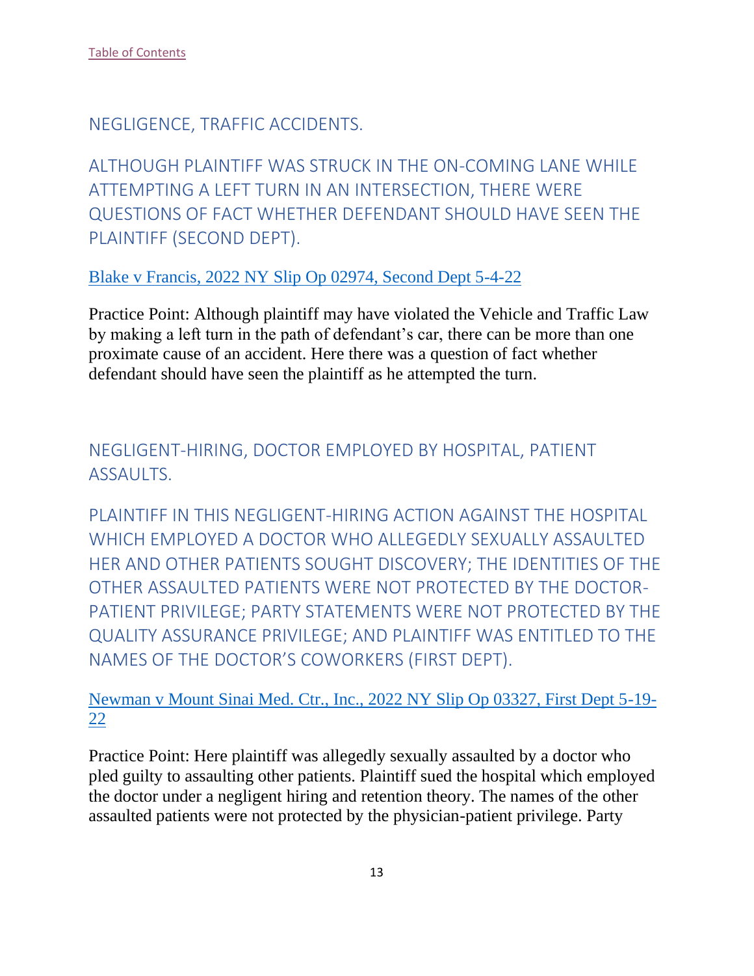<span id="page-13-0"></span>NEGLIGENCE, TRAFFIC ACCIDENTS.

<span id="page-13-1"></span>ALTHOUGH PLAINTIFF WAS STRUCK IN THE ON-COMING LANE WHILE ATTEMPTING A LEFT TURN IN AN INTERSECTION, THERE WERE QUESTIONS OF FACT WHETHER DEFENDANT SHOULD HAVE SEEN THE PLAINTIFF (SECOND DEPT).

Blake v Francis, 2022 NY Slip Op 02974, Second Dept 5-4-22

Practice Point: Although plaintiff may have violated the Vehicle and Traffic Law by making a left turn in the path of defendant's car, there can be more than one proximate cause of an accident. Here there was a question of fact whether defendant should have seen the plaintiff as he attempted the turn.

<span id="page-13-2"></span>NEGLIGENT-HIRING, DOCTOR EMPLOYED BY HOSPITAL, PATIENT **ASSAULTS.** 

<span id="page-13-3"></span>PLAINTIFF IN THIS NEGLIGENT-HIRING ACTION AGAINST THE HOSPITAL WHICH EMPLOYED A DOCTOR WHO ALLEGEDLY SEXUALLY ASSAULTED HER AND OTHER PATIENTS SOUGHT DISCOVERY; THE IDENTITIES OF THE OTHER ASSAULTED PATIENTS WERE NOT PROTECTED BY THE DOCTOR-PATIENT PRIVILEGE; PARTY STATEMENTS WERE NOT PROTECTED BY THE QUALITY ASSURANCE PRIVILEGE; AND PLAINTIFF WAS ENTITLED TO THE NAMES OF THE DOCTOR'S COWORKERS (FIRST DEPT).

Newman v Mount Sinai Med. Ctr., Inc., 2022 NY Slip Op 03327, First Dept 5-19- 22

Practice Point: Here plaintiff was allegedly sexually assaulted by a doctor who pled guilty to assaulting other patients. Plaintiff sued the hospital which employed the doctor under a negligent hiring and retention theory. The names of the other assaulted patients were not protected by the physician-patient privilege. Party